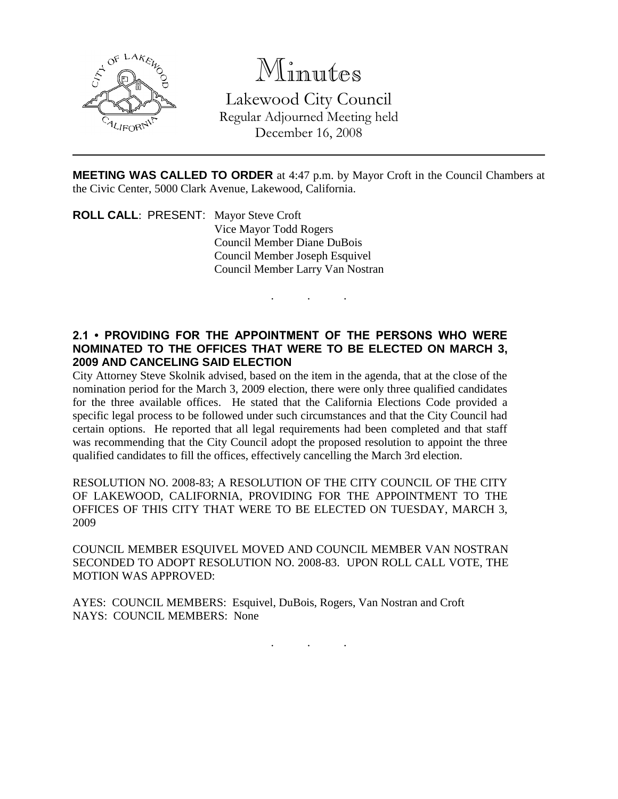

# Minutes

Lakewood City Council Regular Adjourned Meeting held December 16, 2008

**MEETING WAS CALLED TO ORDER** at 4:47 p.m. by Mayor Croft in the Council Chambers at the Civic Center, 5000 Clark Avenue, Lakewood, California.

. . .

**ROLL CALL**: PRESENT: Mayor Steve Croft Vice Mayor Todd Rogers Council Member Diane DuBois Council Member Joseph Esquivel Council Member Larry Van Nostran

### **2.1 • PROVIDING FOR THE APPOINTMENT OF THE PERSONS WHO WERE NOMINATED TO THE OFFICES THAT WERE TO BE ELECTED ON MARCH 3, 2009 AND CANCELING SAID ELECTION**

City Attorney Steve Skolnik advised, based on the item in the agenda, that at the close of the nomination period for the March 3, 2009 election, there were only three qualified candidates for the three available offices. He stated that the California Elections Code provided a specific legal process to be followed under such circumstances and that the City Council had certain options. He reported that all legal requirements had been completed and that staff was recommending that the City Council adopt the proposed resolution to appoint the three qualified candidates to fill the offices, effectively cancelling the March 3rd election.

RESOLUTION NO. 2008-83; A RESOLUTION OF THE CITY COUNCIL OF THE CITY OF LAKEWOOD, CALIFORNIA, PROVIDING FOR THE APPOINTMENT TO THE OFFICES OF THIS CITY THAT WERE TO BE ELECTED ON TUESDAY, MARCH 3, 2009

COUNCIL MEMBER ESQUIVEL MOVED AND COUNCIL MEMBER VAN NOSTRAN SECONDED TO ADOPT RESOLUTION NO. 2008-83. UPON ROLL CALL VOTE, THE MOTION WAS APPROVED:

AYES: COUNCIL MEMBERS: Esquivel, DuBois, Rogers, Van Nostran and Croft NAYS: COUNCIL MEMBERS: None

. . .